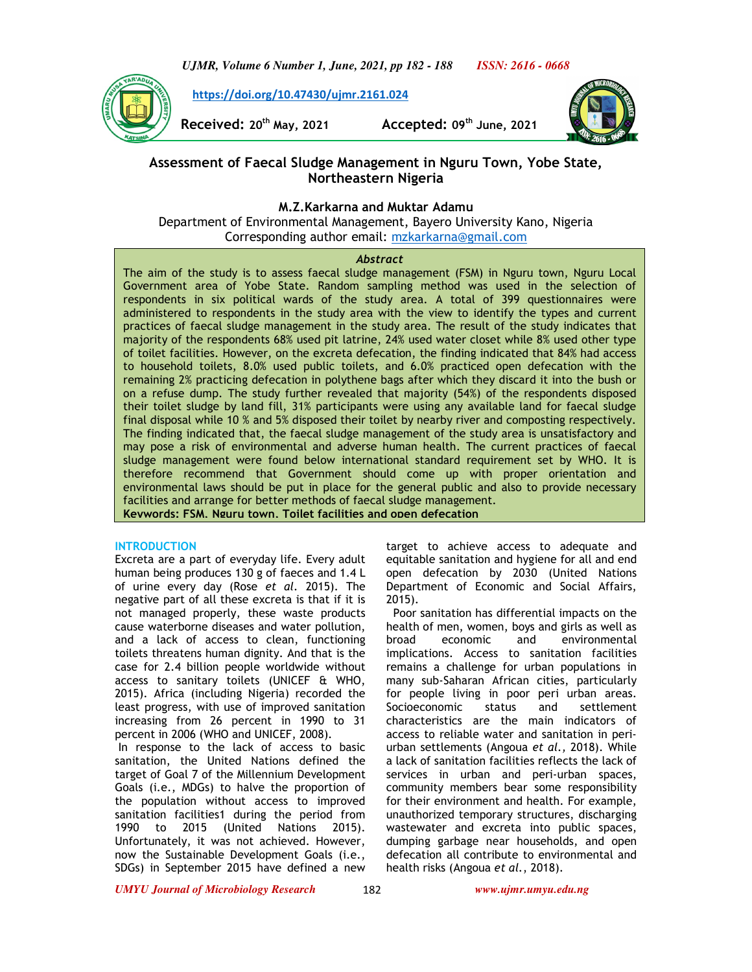*UJMR, Volume 6 Number 1, June, 2021, pp 182 - 188 ISSN: 2616 - 0668*

 **https://doi.org/10.47430/ujmr.2161.024**

**Received: 20th May, 2021 Accepted: 09th June, 2021** 



# **Assessment of Faecal Sludge Management in Nguru Town, Yobe State, Northeastern Nigeria**

# **M.Z.Karkarna and Muktar Adamu**

Department of Environmental Management, Bayero University Kano, Nigeria Corresponding author email: mzkarkarna@gmail.com

#### *Abstract*

The aim of the study is to assess faecal sludge management (FSM) in Nguru town, Nguru Local Government area of Yobe State. Random sampling method was used in the selection of respondents in six political wards of the study area. A total of 399 questionnaires were administered to respondents in the study area with the view to identify the types and current practices of faecal sludge management in the study area. The result of the study indicates that majority of the respondents 68% used pit latrine, 24% used water closet while 8% used other type of toilet facilities. However, on the excreta defecation, the finding indicated that 84% had access to household toilets, 8.0% used public toilets, and 6.0% practiced open defecation with the remaining 2% practicing defecation in polythene bags after which they discard it into the bush or on a refuse dump. The study further revealed that majority (54%) of the respondents disposed their toilet sludge by land fill, 31% participants were using any available land for faecal sludge final disposal while 10 % and 5% disposed their toilet by nearby river and composting respectively. The finding indicated that, the faecal sludge management of the study area is unsatisfactory and may pose a risk of environmental and adverse human health. The current practices of faecal sludge management were found below international standard requirement set by WHO. It is therefore recommend that Government should come up with proper orientation and environmental laws should be put in place for the general public and also to provide necessary facilities and arrange for better methods of faecal sludge management.

**Keywords: FSM, Nguru town, Toilet facilities and open defecation**

#### **INTRODUCTION**

Excreta are a part of everyday life. Every adult human being produces 130 g of faeces and 1.4 L of urine every day (Rose *et al.* 2015). The negative part of all these excreta is that if it is not managed properly, these waste products cause waterborne diseases and water pollution, and a lack of access to clean, functioning toilets threatens human dignity. And that is the case for 2.4 billion people worldwide without access to sanitary toilets (UNICEF & WHO, 2015). Africa (including Nigeria) recorded the least progress, with use of improved sanitation increasing from 26 percent in 1990 to 31 percent in 2006 (WHO and UNICEF, 2008).

 In response to the lack of access to basic sanitation, the United Nations defined the target of Goal 7 of the Millennium Development Goals (i.e., MDGs) to halve the proportion of the population without access to improved sanitation facilities1 during the period from 1990 to 2015 (United Nations 2015). Unfortunately, it was not achieved. However, now the Sustainable Development Goals (i.e., SDGs) in September 2015 have defined a new

target to achieve access to adequate and equitable sanitation and hygiene for all and end open defecation by 2030 (United Nations Department of Economic and Social Affairs, 2015).

 Poor sanitation has differential impacts on the health of men, women, boys and girls as well as broad economic and environmental implications. Access to sanitation facilities remains a challenge for urban populations in many sub-Saharan African cities, particularly for people living in poor peri urban areas. Socioeconomic status and settlement characteristics are the main indicators of access to reliable water and sanitation in periurban settlements (Angoua *et al.,* 2018). While a lack of sanitation facilities reflects the lack of services in urban and peri-urban spaces, community members bear some responsibility for their environment and health. For example, unauthorized temporary structures, discharging wastewater and excreta into public spaces, dumping garbage near households, and open defecation all contribute to environmental and health risks (Angoua *et al.*, 2018).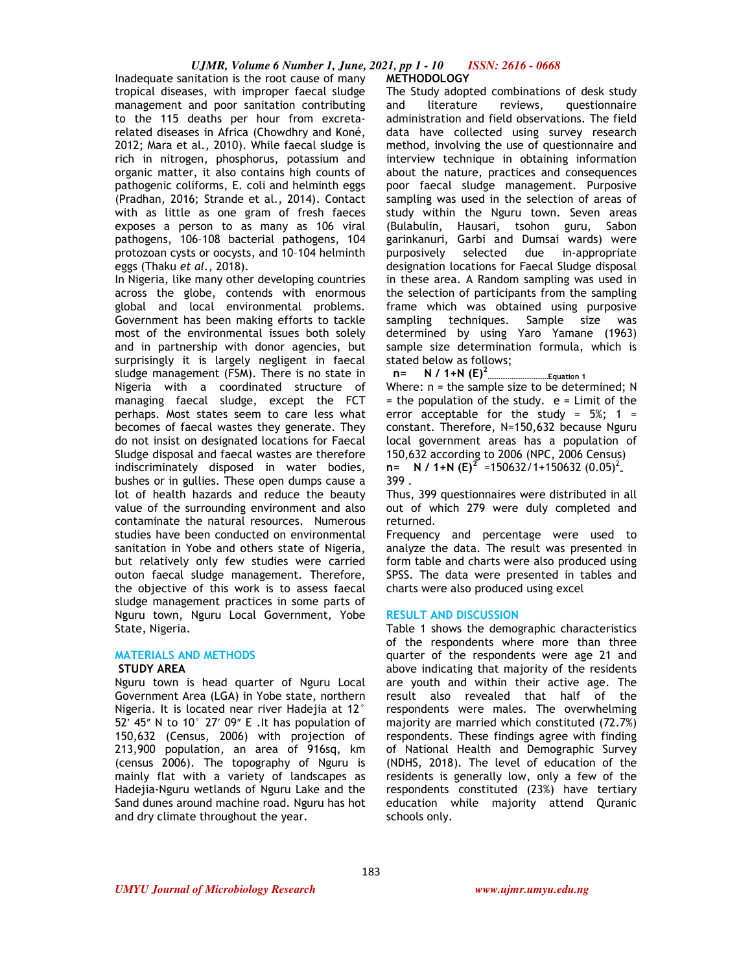### *UJMR, Volume 6 Number 1, June, 2021, pp 1 - 10 ISSN: 2616 - 0668*

Inadequate sanitation is the root cause of many tropical diseases, with improper faecal sludge management and poor sanitation contributing to the 115 deaths per hour from excretarelated diseases in Africa (Chowdhry and Koné, 2012; Mara et al., 2010). While faecal sludge is rich in nitrogen, phosphorus, potassium and organic matter, it also contains high counts of pathogenic coliforms, E. coli and helminth eggs (Pradhan, 2016; Strande et al., 2014). Contact with as little as one gram of fresh faeces exposes a person to as many as 106 viral pathogens, 106–108 bacterial pathogens, 104 protozoan cysts or oocysts, and 10–104 helminth eggs (Thaku *et al.*, 2018).

In Nigeria, like many other developing countries across the globe, contends with enormous global and local environmental problems. Government has been making efforts to tackle most of the environmental issues both solely and in partnership with donor agencies, but surprisingly it is largely negligent in faecal sludge management (FSM). There is no state in Nigeria with a coordinated structure of managing faecal sludge, except the FCT perhaps. Most states seem to care less what becomes of faecal wastes they generate. They do not insist on designated locations for Faecal Sludge disposal and faecal wastes are therefore indiscriminately disposed in water bodies, bushes or in gullies. These open dumps cause a lot of health hazards and reduce the beauty value of the surrounding environment and also contaminate the natural resources. Numerous studies have been conducted on environmental sanitation in Yobe and others state of Nigeria, but relatively only few studies were carried outon faecal sludge management. Therefore, the objective of this work is to assess faecal sludge management practices in some parts of Nguru town, Nguru Local Government, Yobe State, Nigeria.

# **MATERIALS AND METHODS**

### **STUDY AREA**

Nguru town is head quarter of Nguru Local Government Area (LGA) in Yobe state, northern Nigeria. It is located near river Hadejia at 12° 52 $'$  45" N to 10 $^{\circ}$  27' 09" E . It has population of 150,632 (Census, 2006) with projection of 213,900 population, an area of 916sq, km (census 2006). The topography of Nguru is mainly flat with a variety of landscapes as Hadejia-Nguru wetlands of Nguru Lake and the Sand dunes around machine road. Nguru has hot and dry climate throughout the year.

#### **METHODOLOGY**

The Study adopted combinations of desk study and literature reviews, questionnaire administration and field observations. The field data have collected using survey research method, involving the use of questionnaire and interview technique in obtaining information about the nature, practices and consequences poor faecal sludge management. Purposive sampling was used in the selection of areas of study within the Nguru town. Seven areas (Bulabulin, Hausari, tsohon guru, Sabon garinkanuri, Garbi and Dumsai wards) were purposively selected due in-appropriate designation locations for Faecal Sludge disposal in these area. A Random sampling was used in the selection of participants from the sampling frame which was obtained using purposive sampling techniques. Sample size was determined by using Yaro Yamane (1963) sample size determination formula, which is stated below as follows;

 **n= N / 1+N (E)<sup>2</sup> ……………………………Equation 1**  Where: n = the sample size to be determined; N  $=$  the population of the study.  $e =$  Limit of the error acceptable for the study =  $5\%$ ; 1 = constant. Therefore, N=150,632 because Nguru local government areas has a population of 150,632 according to 2006 (NPC, 2006 Census)  $n=$  **N** / 1+N  $(E)^2$  =150632/1+150632  $(0.05)^2$ 399 .

Thus, 399 questionnaires were distributed in all out of which 279 were duly completed and returned.

Frequency and percentage were used to analyze the data. The result was presented in form table and charts were also produced using SPSS. The data were presented in tables and charts were also produced using excel

#### **RESULT AND DISCUSSION**

Table 1 shows the demographic characteristics of the respondents where more than three quarter of the respondents were age 21 and above indicating that majority of the residents are youth and within their active age. The result also revealed that half of the respondents were males. The overwhelming majority are married which constituted (72.7%) respondents. These findings agree with finding of National Health and Demographic Survey (NDHS, 2018). The level of education of the residents is generally low, only a few of the respondents constituted (23%) have tertiary education while majority attend Quranic schools only.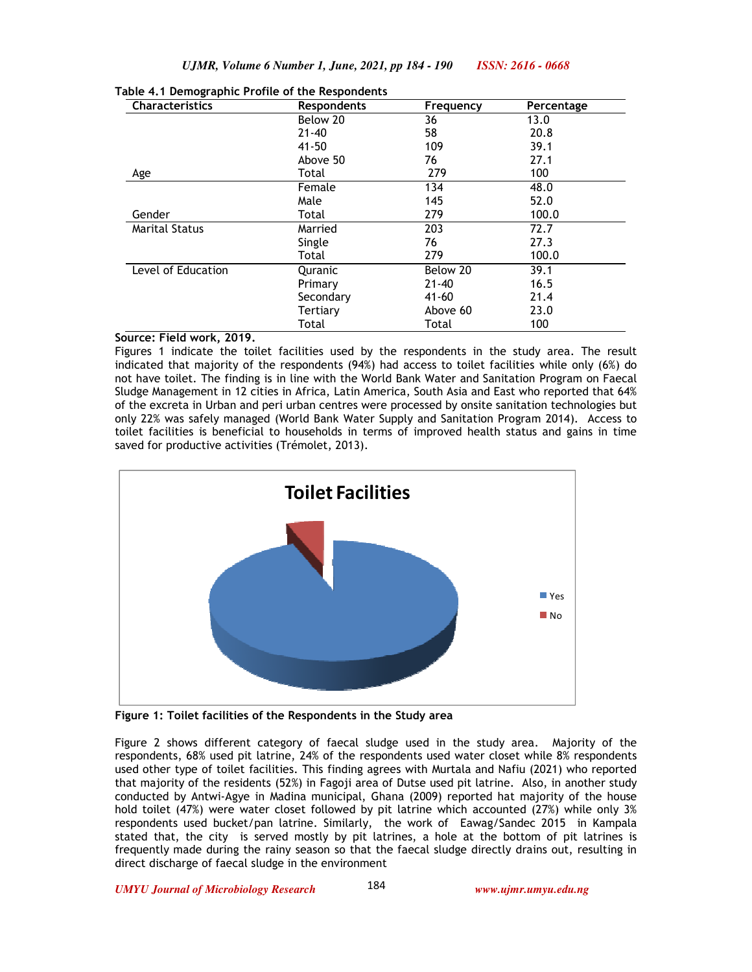| <b>Characteristics</b> | <b>Respondents</b> | Frequency | Percentage |
|------------------------|--------------------|-----------|------------|
|                        | Below 20           | 36        | 13.0       |
|                        | $21 - 40$          | 58        | 20.8       |
|                        | $41 - 50$          | 109       | 39.1       |
|                        | Above 50           | 76        | 27.1       |
| Age                    | Total              | 279       | 100        |
|                        | Female             | 134       | 48.0       |
|                        | Male               | 145       | 52.0       |
| Gender                 | Total              | 279       | 100.0      |
| <b>Marital Status</b>  | Married            | 203       | 72.7       |
|                        | Single             | 76        | 27.3       |
|                        | Total              | 279       | 100.0      |
| Level of Education     | Quranic            | Below 20  | 39.1       |
|                        | Primary            | $21 - 40$ | 16.5       |
|                        | Secondary          | $41 - 60$ | 21.4       |
|                        | Tertiary           | Above 60  | 23.0       |
|                        | Total              | Total     | 100        |

#### **Table 4.1 Demographic Profile of the Respondents**

# **Source: Field work, 2019.**

Figures 1 indicate the toilet facilities used by the respondents in the study area. The result indicated that majority of the respondents (94%) had access to toilet facilities while only (6%) do not have toilet. The finding is in line with the World Bank Water and Sanitation Program on Faecal Sludge Management in 12 cities in Africa, Latin America, South Asia and East who reported that 64% of the excreta in Urban and peri urban centres were processed by onsite sanitation technologies but only 22% was safely managed (World Bank Water Supply and Sanitation Program 2014). Access to toilet facilities is beneficial to households in terms of improved health status and gains in time saved for productive activities (Trémolet, 2013).



**Figure 1: Toilet facilities of the Respondents in the Study area** 

Figure 2 shows different category of faecal sludge used in the study area. Majority of the respondents, 68% used pit latrine, 24% of the respondents used water closet while 8% respondents used other type of toilet facilities. This finding agrees with Murtala and Nafiu (2021) who reported that majority of the residents (52%) in Fagoji area of Dutse used pit latrine. Also, in another study conducted by Antwi-Agye in Madina municipal, Ghana (2009) reported hat majority of the house hold toilet (47%) were water closet followed by pit latrine which accounted (27%) while only 3% respondents used bucket/pan latrine. Similarly, the work of Eawag/Sandec 2015 in Kampala stated that, the city is served mostly by pit latrines, a hole at the bottom of pit latrines is frequently made during the rainy season so that the faecal sludge directly drains out, resulting in direct discharge of faecal sludge in the environment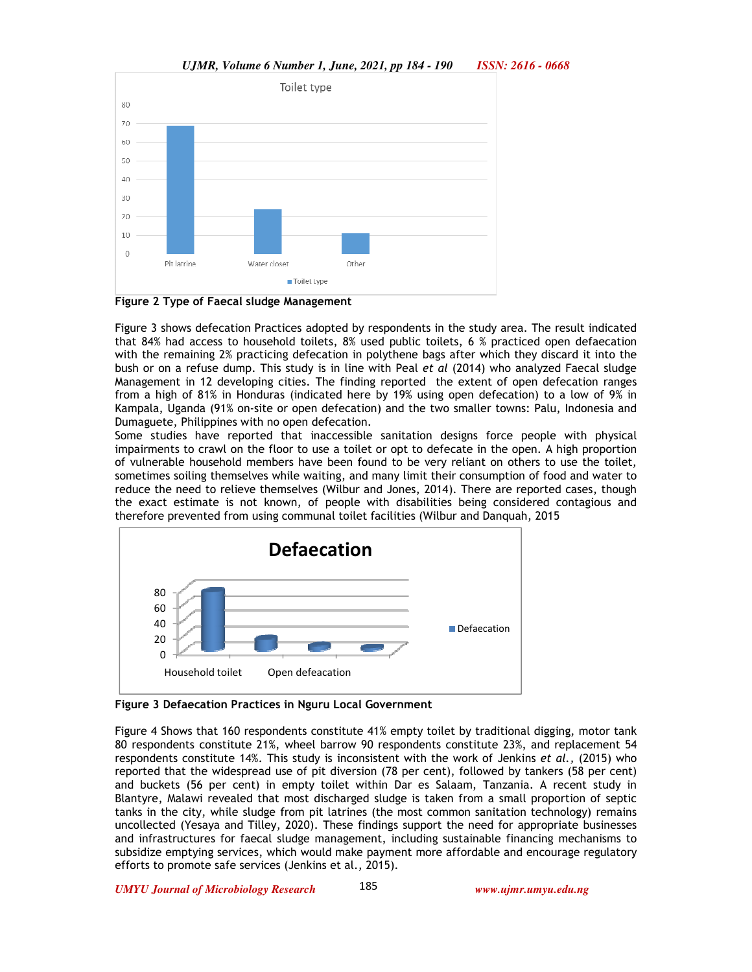

Other

*UJMR, Volume 6 Number 1, June, 2021, pp 184 - 190 ISSN: 2616 - 0668*



Water closet

Toilet type

Pit latrine

Figure 3 shows defecation Practices adopted by respondents in the study area. The result indicated that 84% had access to household toilets, 8% used public toilets, 6 % practiced open defaecation with the remaining 2% practicing defecation in polythene bags after which they discard it into the bush or on a refuse dump. This study is in line with Peal *et al* (2014) who analyzed Faecal sludge Management in 12 developing cities. The finding reported the extent of open defecation ranges from a high of 81% in Honduras (indicated here by 19% using open defecation) to a low of 9% in Kampala, Uganda (91% on-site or open defecation) and the two smaller towns: Palu, Indonesia and Dumaguete, Philippines with no open defecation.

Some studies have reported that inaccessible sanitation designs force people with physical impairments to crawl on the floor to use a toilet or opt to defecate in the open. A high proportion of vulnerable household members have been found to be very reliant on others to use the toilet, sometimes soiling themselves while waiting, and many limit their consumption of food and water to reduce the need to relieve themselves (Wilbur and Jones, 2014). There are reported cases, though the exact estimate is not known, of people with disabilities being considered contagious and therefore prevented from using communal toilet facilities (Wilbur and Danquah, 2015



**Figure 3 Defaecation Practices in Nguru Local Government** 

Figure 4 Shows that 160 respondents constitute 41% empty toilet by traditional digging, motor tank 80 respondents constitute 21%, wheel barrow 90 respondents constitute 23%, and replacement 54 respondents constitute 14%. This study is inconsistent with the work of Jenkins *et al.,* (2015) who reported that the widespread use of pit diversion (78 per cent), followed by tankers (58 per cent) and buckets (56 per cent) in empty toilet within Dar es Salaam, Tanzania. A recent study in Blantyre, Malawi revealed that most discharged sludge is taken from a small proportion of septic tanks in the city, while sludge from pit latrines (the most common sanitation technology) remains uncollected (Yesaya and Tilley, 2020). These findings support the need for appropriate businesses and infrastructures for faecal sludge management, including sustainable financing mechanisms to subsidize emptying services, which would make payment more affordable and encourage regulatory efforts to promote safe services (Jenkins et al., 2015).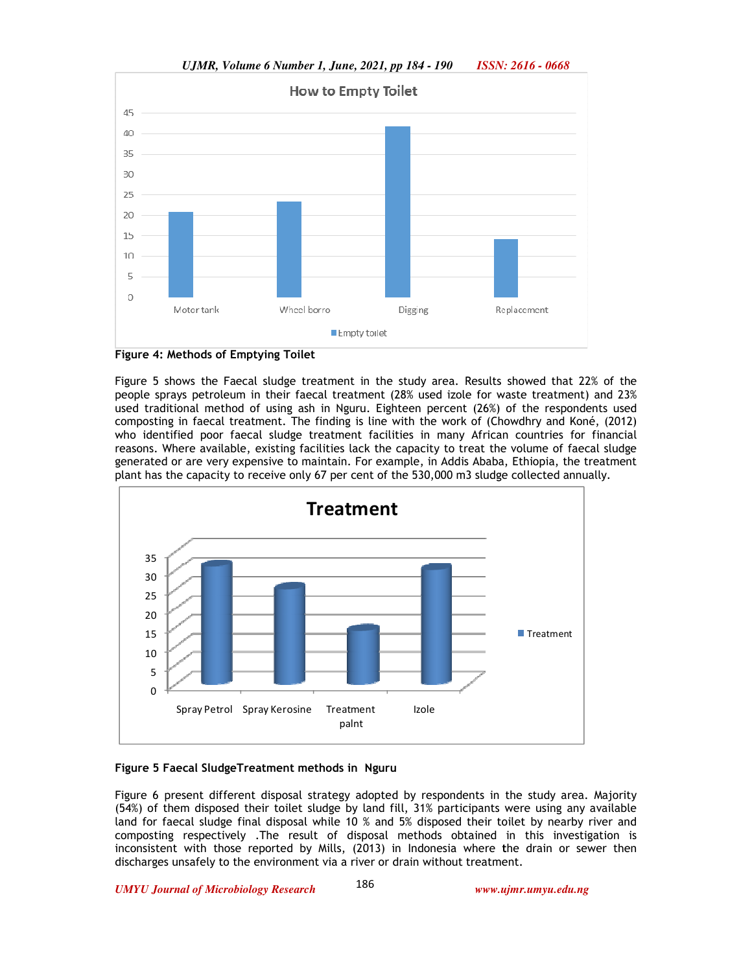

*UJMR, Volume 6 Number 1, June, 2021, pp 184 - 190 ISSN: 2616 - 0668*



Figure 5 shows the Faecal sludge treatment in the study area. Results showed that 22% of the people sprays petroleum in their faecal treatment (28% used izole for waste treatment) and 23% used traditional method of using ash in Nguru. Eighteen percent (26%) of the respondents used composting in faecal treatment. The finding is line with the work of (Chowdhry and Koné, (2012) who identified poor faecal sludge treatment facilities in many African countries for financial reasons. Where available, existing facilities lack the capacity to treat the volume of faecal sludge generated or are very expensive to maintain. For example, in Addis Ababa, Ethiopia, the treatment plant has the capacity to receive only 67 per cent of the 530,000 m3 sludge collected annually.



### **Figure 5 Faecal SludgeTreatment methods in Nguru**

Figure 6 present different disposal strategy adopted by respondents in the study area. Majority (54%) of them disposed their toilet sludge by land fill, 31% participants were using any available land for faecal sludge final disposal while 10 % and 5% disposed their toilet by nearby river and composting respectively .The result of disposal methods obtained in this investigation is inconsistent with those reported by Mills, (2013) in Indonesia where **t**he drain or sewer then discharges unsafely to the environment via a river or drain without treatment.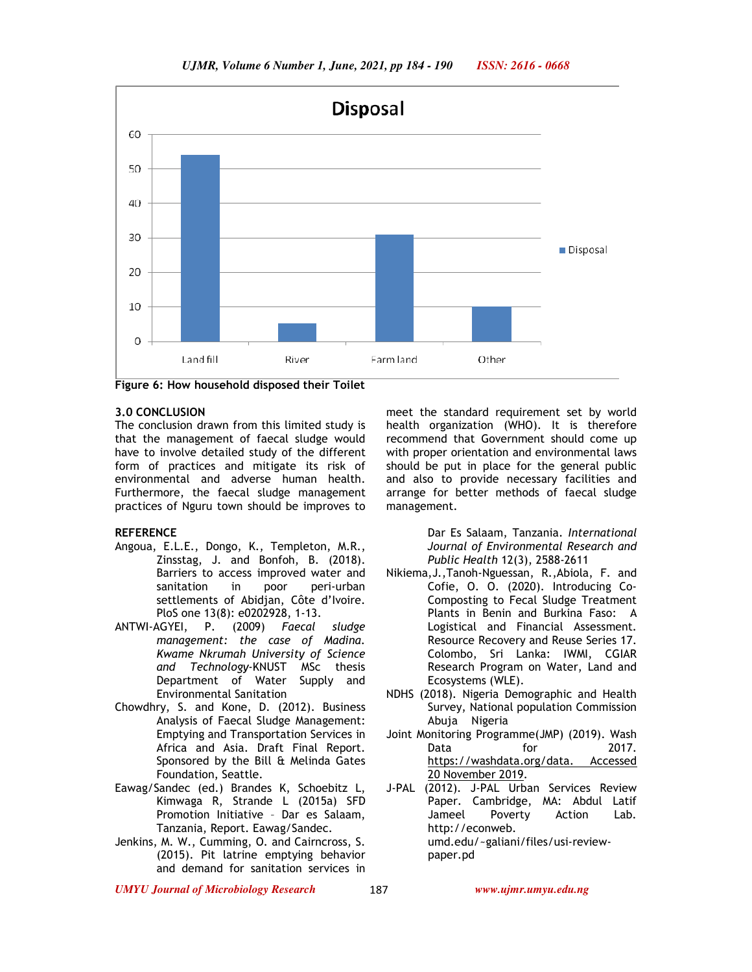

**Figure 6: How household disposed their Toilet** 

#### **3.0 CONCLUSION**

The conclusion drawn from this limited study is that the management of faecal sludge would have to involve detailed study of the different form of practices and mitigate its risk of environmental and adverse human health. Furthermore, the faecal sludge management practices of Nguru town should be improves to

## **REFERENCE**

- Angoua, E.L.E., Dongo, K., Templeton, M.R., Zinsstag, J. and Bonfoh, B. (2018). Barriers to access improved water and sanitation in poor peri-urban settlements of Abidjan, Côte d'Ivoire. PloS one 13(8): e0202928, 1-13.
- ANTWI-AGYEI, P. (2009) *Faecal sludge management: the case of Madina. Kwame Nkrumah University of Science and Technology*-KNUST MSc thesis Department of Water Supply and Environmental Sanitation
- Chowdhry, S. and Kone, D. (2012). Business Analysis of Faecal Sludge Management: Emptying and Transportation Services in Africa and Asia. Draft Final Report. Sponsored by the Bill & Melinda Gates Foundation, Seattle.
- Eawag/Sandec (ed.) Brandes K, Schoebitz L, Kimwaga R, Strande L (2015a) SFD Promotion Initiative – Dar es Salaam, Tanzania, Report. Eawag/Sandec.
- Jenkins, M. W., Cumming, O. and Cairncross, S. (2015). Pit latrine emptying behavior and demand for sanitation services in

meet the standard requirement set by world health organization (WHO). It is therefore recommend that Government should come up with proper orientation and environmental laws should be put in place for the general public and also to provide necessary facilities and arrange for better methods of faecal sludge management.

> Dar Es Salaam, Tanzania. *International Journal of Environmental Research and Public Health* 12(3), 2588-2611

- Nikiema,J.,Tanoh-Nguessan, R.,Abiola, F. and Cofie, O. O. (2020). Introducing Co-Composting to Fecal Sludge Treatment Plants in Benin and Burkina Faso: A Logistical and Financial Assessment. Resource Recovery and Reuse Series 17. Colombo, Sri Lanka: IWMI, CGIAR Research Program on Water, Land and Ecosystems (WLE).
- NDHS (2018). Nigeria Demographic and Health Survey, National population Commission Abuja Nigeria
- Joint Monitoring Programme(JMP) (2019). Wash Data for 2017. https://washdata.org/data. Accessed 20 November 2019.
- J-PAL (2012). J-PAL Urban Services Review Paper. Cambridge, MA: Abdul Latif Jameel Poverty Action Lab. http://econweb. umd.edu/~galiani/files/usi-reviewpaper.pd